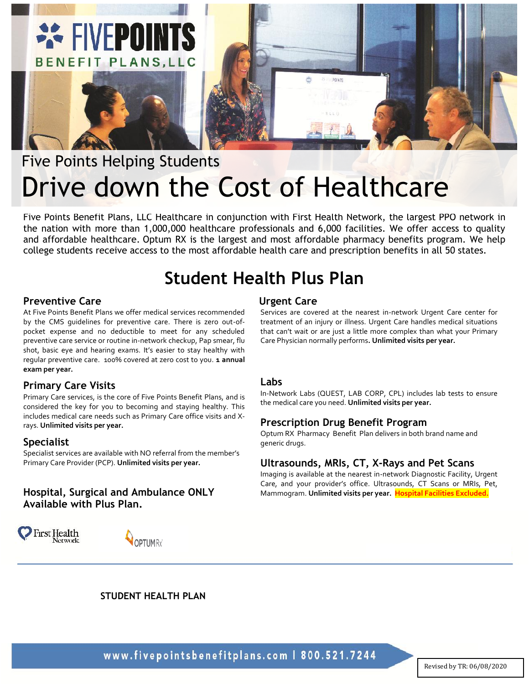

# Five Points Helping Students Drive down the Cost of Healthcare

Five Points Benefit Plans, LLC Healthcare in conjunction with First Health Network, the largest PPO network in the nation with more than 1,000,000 healthcare professionals and 6,000 facilities. We offer access to quality and affordable healthcare. Optum RX is the largest and most affordable pharmacy benefits program. We help college students receive access to the most affordable health care and prescription benefits in all 50 states.

# **Student Health Plus Plan**

# **Preventive Care**

At Five Points Benefit Plans we offer medical services recommended by the CMS guidelines for preventive care. There is zero out-ofpocket expense and no deductible to meet for any scheduled preventive care service or routine in-network checkup, Pap smear, flu shot, basic eye and hearing exams. It's easier to stay healthy with regular preventive care. 100% covered at zero cost to you. **1 annual exam per year.**

## **Primary Care Visits**

Primary Care services, is the core of Five Points Benefit Plans, and is considered the key for you to becoming and staying healthy. This includes medical care needs such as Primary Care office visits and Xrays. **Unlimited visits per year.**

## **Specialist**

Specialist services are available with NO referral from the member's Primary Care Provider (PCP). **Unlimited visits per year.**

# **Hospital, Surgical and Ambulance ONLY Available with Plus Plan.**

**First Health** Network



# **Urgent Care**

Services are covered at the nearest in-network Urgent Care center for treatment of an injury or illness. Urgent Care handles medical situations that can't wait or are just a little more complex than what your Primary Care Physician normally performs**. Unlimited visits per year.**

#### **Labs**

In-Network Labs (QUEST, LAB CORP, CPL) includes lab tests to ensure the medical care you need. **Unlimited visits per year.**

## **Prescription Drug Benefit Program**

Optum RX Pharmacy Benefit Plan delivers in both brand name and generic drugs.

# **Ultrasounds, MRIs, CT, X-Rays and Pet Scans**

Imaging is available at the nearest in-network Diagnostic Facility, Urgent Care, and your provider's office. Ultrasounds, CT Scans or MRIs, Pet, Mammogram. **Unlimited visits per year. Hospital Facilities Excluded.**

**STUDENT HEALTH PLAN**